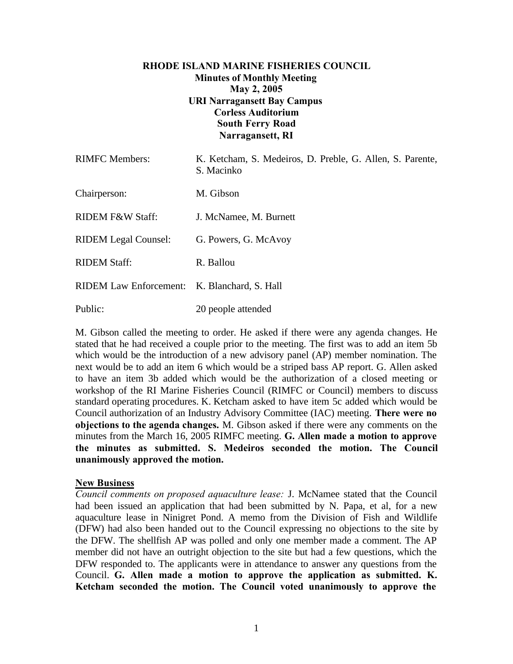# **RHODE ISLAND MARINE FISHERIES COUNCIL Minutes of Monthly Meeting May 2, 2005 URI Narragansett Bay Campus Corless Auditorium South Ferry Road Narragansett, RI**

| <b>RIMFC</b> Members:                        | K. Ketcham, S. Medeiros, D. Preble, G. Allen, S. Parente,<br>S. Macinko |
|----------------------------------------------|-------------------------------------------------------------------------|
| Chairperson:                                 | M. Gibson                                                               |
| <b>RIDEM F&amp;W Staff:</b>                  | J. McNamee, M. Burnett                                                  |
| <b>RIDEM</b> Legal Counsel:                  | G. Powers, G. McAvoy                                                    |
| <b>RIDEM Staff:</b>                          | R. Ballou                                                               |
| RIDEM Law Enforcement: K. Blanchard, S. Hall |                                                                         |
| Public:                                      | 20 people attended                                                      |

M. Gibson called the meeting to order. He asked if there were any agenda changes. He stated that he had received a couple prior to the meeting. The first was to add an item 5b which would be the introduction of a new advisory panel (AP) member nomination. The next would be to add an item 6 which would be a striped bass AP report. G. Allen asked to have an item 3b added which would be the authorization of a closed meeting or workshop of the RI Marine Fisheries Council (RIMFC or Council) members to discuss standard operating procedures. K. Ketcham asked to have item 5c added which would be Council authorization of an Industry Advisory Committee (IAC) meeting. **There were no objections to the agenda changes.** M. Gibson asked if there were any comments on the minutes from the March 16, 2005 RIMFC meeting. **G. Allen made a motion to approve the minutes as submitted. S. Medeiros seconded the motion. The Council unanimously approved the motion.**

### **New Business**

*Council comments on proposed aquaculture lease:* J. McNamee stated that the Council had been issued an application that had been submitted by N. Papa, et al, for a new aquaculture lease in Ninigret Pond. A memo from the Division of Fish and Wildlife (DFW) had also been handed out to the Council expressing no objections to the site by the DFW. The shellfish AP was polled and only one member made a comment. The AP member did not have an outright objection to the site but had a few questions, which the DFW responded to. The applicants were in attendance to answer any questions from the Council. **G. Allen made a motion to approve the application as submitted. K. Ketcham seconded the motion. The Council voted unanimously to approve the**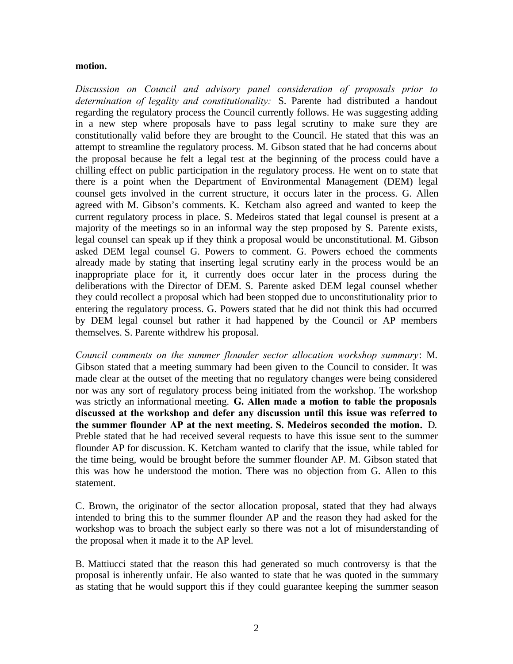#### **motion.**

*Discussion on Council and advisory panel consideration of proposals prior to determination of legality and constitutionality:* S. Parente had distributed a handout regarding the regulatory process the Council currently follows. He was suggesting adding in a new step where proposals have to pass legal scrutiny to make sure they are constitutionally valid before they are brought to the Council. He stated that this was an attempt to streamline the regulatory process. M. Gibson stated that he had concerns about the proposal because he felt a legal test at the beginning of the process could have a chilling effect on public participation in the regulatory process. He went on to state that there is a point when the Department of Environmental Management (DEM) legal counsel gets involved in the current structure, it occurs later in the process. G. Allen agreed with M. Gibson's comments. K. Ketcham also agreed and wanted to keep the current regulatory process in place. S. Medeiros stated that legal counsel is present at a majority of the meetings so in an informal way the step proposed by S. Parente exists, legal counsel can speak up if they think a proposal would be unconstitutional. M. Gibson asked DEM legal counsel G. Powers to comment. G. Powers echoed the comments already made by stating that inserting legal scrutiny early in the process would be an inappropriate place for it, it currently does occur later in the process during the deliberations with the Director of DEM. S. Parente asked DEM legal counsel whether they could recollect a proposal which had been stopped due to unconstitutionality prior to entering the regulatory process. G. Powers stated that he did not think this had occurred by DEM legal counsel but rather it had happened by the Council or AP members themselves. S. Parente withdrew his proposal.

*Council comments on the summer flounder sector allocation workshop summary*: M. Gibson stated that a meeting summary had been given to the Council to consider. It was made clear at the outset of the meeting that no regulatory changes were being considered nor was any sort of regulatory process being initiated from the workshop. The workshop was strictly an informational meeting. **G. Allen made a motion to table the proposals discussed at the workshop and defer any discussion until this issue was referred to the summer flounder AP at the next meeting. S. Medeiros seconded the motion.** D. Preble stated that he had received several requests to have this issue sent to the summer flounder AP for discussion. K. Ketcham wanted to clarify that the issue, while tabled for the time being, would be brought before the summer flounder AP. M. Gibson stated that this was how he understood the motion. There was no objection from G. Allen to this statement.

C. Brown, the originator of the sector allocation proposal, stated that they had always intended to bring this to the summer flounder AP and the reason they had asked for the workshop was to broach the subject early so there was not a lot of misunderstanding of the proposal when it made it to the AP level.

B. Mattiucci stated that the reason this had generated so much controversy is that the proposal is inherently unfair. He also wanted to state that he was quoted in the summary as stating that he would support this if they could guarantee keeping the summer season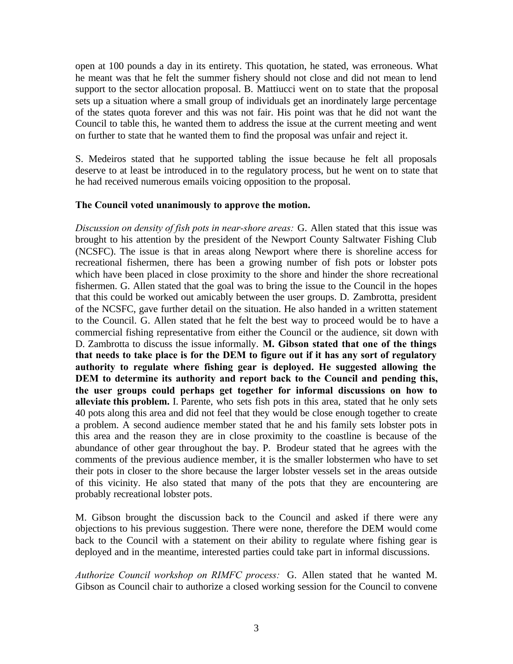open at 100 pounds a day in its entirety. This quotation, he stated, was erroneous. What he meant was that he felt the summer fishery should not close and did not mean to lend support to the sector allocation proposal. B. Mattiucci went on to state that the proposal sets up a situation where a small group of individuals get an inordinately large percentage of the states quota forever and this was not fair. His point was that he did not want the Council to table this, he wanted them to address the issue at the current meeting and went on further to state that he wanted them to find the proposal was unfair and reject it.

S. Medeiros stated that he supported tabling the issue because he felt all proposals deserve to at least be introduced in to the regulatory process, but he went on to state that he had received numerous emails voicing opposition to the proposal.

### **The Council voted unanimously to approve the motion.**

*Discussion on density of fish pots in near-shore areas:* G. Allen stated that this issue was brought to his attention by the president of the Newport County Saltwater Fishing Club (NCSFC). The issue is that in areas along Newport where there is shoreline access for recreational fishermen, there has been a growing number of fish pots or lobster pots which have been placed in close proximity to the shore and hinder the shore recreational fishermen. G. Allen stated that the goal was to bring the issue to the Council in the hopes that this could be worked out amicably between the user groups. D. Zambrotta, president of the NCSFC, gave further detail on the situation. He also handed in a written statement to the Council. G. Allen stated that he felt the best way to proceed would be to have a commercial fishing representative from either the Council or the audience, sit down with D. Zambrotta to discuss the issue informally. **M. Gibson stated that one of the things that needs to take place is for the DEM to figure out if it has any sort of regulatory authority to regulate where fishing gear is deployed. He suggested allowing the DEM to determine its authority and report back to the Council and pending this, the user groups could perhaps get together for informal discussions on how to alleviate this problem.** I. Parente, who sets fish pots in this area, stated that he only sets 40 pots along this area and did not feel that they would be close enough together to create a problem. A second audience member stated that he and his family sets lobster pots in this area and the reason they are in close proximity to the coastline is because of the abundance of other gear throughout the bay. P. Brodeur stated that he agrees with the comments of the previous audience member, it is the smaller lobstermen who have to set their pots in closer to the shore because the larger lobster vessels set in the areas outside of this vicinity. He also stated that many of the pots that they are encountering are probably recreational lobster pots.

M. Gibson brought the discussion back to the Council and asked if there were any objections to his previous suggestion. There were none, therefore the DEM would come back to the Council with a statement on their ability to regulate where fishing gear is deployed and in the meantime, interested parties could take part in informal discussions.

*Authorize Council workshop on RIMFC process:* G. Allen stated that he wanted M. Gibson as Council chair to authorize a closed working session for the Council to convene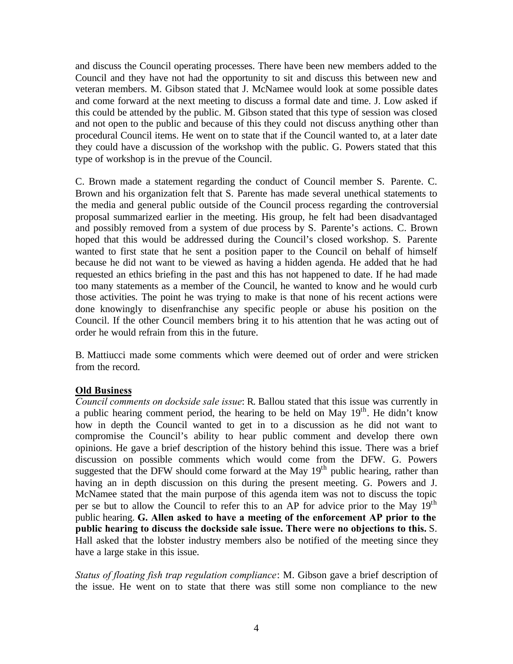and discuss the Council operating processes. There have been new members added to the Council and they have not had the opportunity to sit and discuss this between new and veteran members. M. Gibson stated that J. McNamee would look at some possible dates and come forward at the next meeting to discuss a formal date and time. J. Low asked if this could be attended by the public. M. Gibson stated that this type of session was closed and not open to the public and because of this they could not discuss anything other than procedural Council items. He went on to state that if the Council wanted to, at a later date they could have a discussion of the workshop with the public. G. Powers stated that this type of workshop is in the prevue of the Council.

C. Brown made a statement regarding the conduct of Council member S. Parente. C. Brown and his organization felt that S. Parente has made several unethical statements to the media and general public outside of the Council process regarding the controversial proposal summarized earlier in the meeting. His group, he felt had been disadvantaged and possibly removed from a system of due process by S. Parente's actions. C. Brown hoped that this would be addressed during the Council's closed workshop. S. Parente wanted to first state that he sent a position paper to the Council on behalf of himself because he did not want to be viewed as having a hidden agenda. He added that he had requested an ethics briefing in the past and this has not happened to date. If he had made too many statements as a member of the Council, he wanted to know and he would curb those activities. The point he was trying to make is that none of his recent actions were done knowingly to disenfranchise any specific people or abuse his position on the Council. If the other Council members bring it to his attention that he was acting out of order he would refrain from this in the future.

B. Mattiucci made some comments which were deemed out of order and were stricken from the record.

# **Old Business**

*Council comments on dockside sale issue*: R. Ballou stated that this issue was currently in a public hearing comment period, the hearing to be held on May  $19<sup>th</sup>$ . He didn't know how in depth the Council wanted to get in to a discussion as he did not want to compromise the Council's ability to hear public comment and develop there own opinions. He gave a brief description of the history behind this issue. There was a brief discussion on possible comments which would come from the DFW. G. Powers suggested that the DFW should come forward at the May  $19<sup>th</sup>$  public hearing, rather than having an in depth discussion on this during the present meeting. G. Powers and J. McNamee stated that the main purpose of this agenda item was not to discuss the topic per se but to allow the Council to refer this to an AP for advice prior to the May  $19<sup>th</sup>$ public hearing. **G. Allen asked to have a meeting of the enforcement AP prior to the public hearing to discuss the dockside sale issue. There were no objections to this.** S. Hall asked that the lobster industry members also be notified of the meeting since they have a large stake in this issue.

*Status of floating fish trap regulation compliance*: M. Gibson gave a brief description of the issue. He went on to state that there was still some non compliance to the new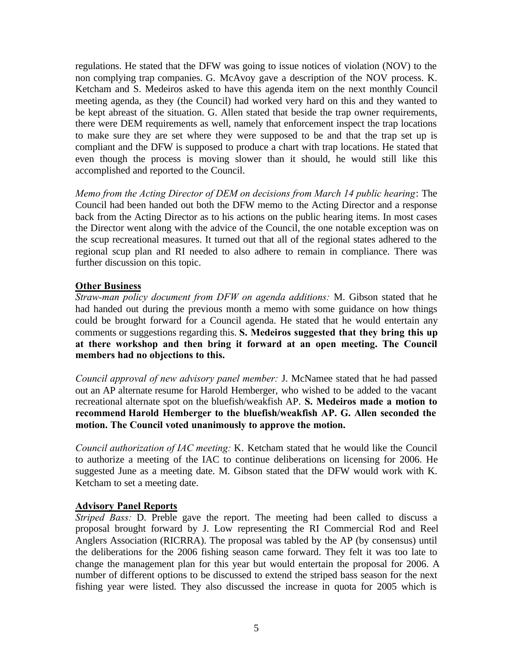regulations. He stated that the DFW was going to issue notices of violation (NOV) to the non complying trap companies. G. McAvoy gave a description of the NOV process. K. Ketcham and S. Medeiros asked to have this agenda item on the next monthly Council meeting agenda, as they (the Council) had worked very hard on this and they wanted to be kept abreast of the situation. G. Allen stated that beside the trap owner requirements, there were DEM requirements as well, namely that enforcement inspect the trap locations to make sure they are set where they were supposed to be and that the trap set up is compliant and the DFW is supposed to produce a chart with trap locations. He stated that even though the process is moving slower than it should, he would still like this accomplished and reported to the Council.

*Memo from the Acting Director of DEM on decisions from March 14 public hearing*: The Council had been handed out both the DFW memo to the Acting Director and a response back from the Acting Director as to his actions on the public hearing items. In most cases the Director went along with the advice of the Council, the one notable exception was on the scup recreational measures. It turned out that all of the regional states adhered to the regional scup plan and RI needed to also adhere to remain in compliance. There was further discussion on this topic.

### **Other Business**

*Straw-man policy document from DFW on agenda additions:* M. Gibson stated that he had handed out during the previous month a memo with some guidance on how things could be brought forward for a Council agenda. He stated that he would entertain any comments or suggestions regarding this. **S. Medeiros suggested that they bring this up at there workshop and then bring it forward at an open meeting. The Council members had no objections to this.**

*Council approval of new advisory panel member:* J. McNamee stated that he had passed out an AP alternate resume for Harold Hemberger, who wished to be added to the vacant recreational alternate spot on the bluefish/weakfish AP. **S. Medeiros made a motion to recommend Harold Hemberger to the bluefish/weakfish AP. G. Allen seconded the motion. The Council voted unanimously to approve the motion.**

*Council authorization of IAC meeting:* K. Ketcham stated that he would like the Council to authorize a meeting of the IAC to continue deliberations on licensing for 2006. He suggested June as a meeting date. M. Gibson stated that the DFW would work with K. Ketcham to set a meeting date.

### **Advisory Panel Reports**

*Striped Bass:* D. Preble gave the report. The meeting had been called to discuss a proposal brought forward by J. Low representing the RI Commercial Rod and Reel Anglers Association (RICRRA). The proposal was tabled by the AP (by consensus) until the deliberations for the 2006 fishing season came forward. They felt it was too late to change the management plan for this year but would entertain the proposal for 2006. A number of different options to be discussed to extend the striped bass season for the next fishing year were listed. They also discussed the increase in quota for 2005 which is